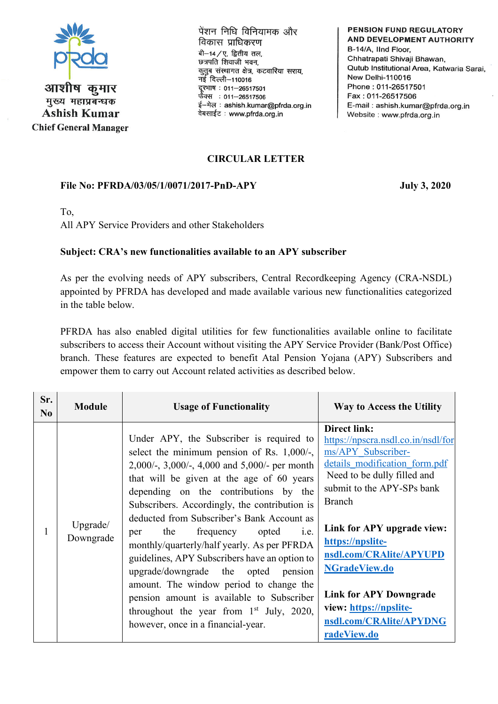

आशीष कमार मुख्य महाप्रबन्धक **Ashish Kumar Chief General Manager**  पेंशन निधि विनियामक और विकास प्राधिकरण बी-14/ए, द्वितीय तल, छत्रपति शिवाजी भवन, कृतूब संस्थागत क्षेत्र, कटवारिया सराय. नई दिल्ली-110016 दूरभाष: 011-26517501 फैक्स: 011-26517506 ई-मेल: ashish.kumar@pfrda.org.in वेबसाईट: www.pfrda.org.in

**PENSION FUND REGULATORY** AND DEVELOPMENT AUTHORITY B-14/A, IInd Floor, Chhatrapati Shivaji Bhawan, Qutub Institutional Area, Katwaria Sarai, New Delhi-110016 Phone: 011-26517501 Fax: 011-26517506 E-mail: ashish.kumar@pfrda.org.in Website: www.pfrda.org.in

## **CIRCULAR LETTER**

## **File No: PFRDA/03/05/1/0071/2017-PnD-APY July 3, 2020**

To,

All APY Service Providers and other Stakeholders

## **Subject: CRA's new functionalities available to an APY subscriber**

As per the evolving needs of APY subscribers, Central Recordkeeping Agency (CRA-NSDL) appointed by PFRDA has developed and made available various new functionalities categorized in the table below.

PFRDA has also enabled digital utilities for few functionalities available online to facilitate subscribers to access their Account without visiting the APY Service Provider (Bank/Post Office) branch. These features are expected to benefit Atal Pension Yojana (APY) Subscribers and empower them to carry out Account related activities as described below.

| Sr.<br>No | <b>Module</b>         | <b>Usage of Functionality</b>                                                                                                                                                                                                                                                                                                                                                                                                                                                                                                                                                                                                                                                                                   | Way to Access the Utility                                                                                                                                                                                                                                                                                                                                                                                |
|-----------|-----------------------|-----------------------------------------------------------------------------------------------------------------------------------------------------------------------------------------------------------------------------------------------------------------------------------------------------------------------------------------------------------------------------------------------------------------------------------------------------------------------------------------------------------------------------------------------------------------------------------------------------------------------------------------------------------------------------------------------------------------|----------------------------------------------------------------------------------------------------------------------------------------------------------------------------------------------------------------------------------------------------------------------------------------------------------------------------------------------------------------------------------------------------------|
|           | Upgrade/<br>Downgrade | Under APY, the Subscriber is required to<br>select the minimum pension of Rs. $1,000/$ -,<br>2,000/-, 3,000/-, 4,000 and 5,000/- per month<br>that will be given at the age of 60 years<br>depending on the contributions by the<br>Subscribers. Accordingly, the contribution is<br>deducted from Subscriber's Bank Account as<br>the<br>frequency opted<br><i>i.e.</i><br>per<br>monthly/quarterly/half yearly. As per PFRDA<br>guidelines, APY Subscribers have an option to<br>upgrade/downgrade the opted<br>pension<br>amount. The window period to change the<br>pension amount is available to Subscriber<br>throughout the year from 1 <sup>st</sup> July, 2020,<br>however, once in a financial-year. | <b>Direct link:</b><br>https://npscra.nsdl.co.in/nsdl/for<br>ms/APY Subscriber-<br>details modification form.pdf<br>Need to be dully filled and<br>submit to the APY-SPs bank<br><b>Branch</b><br>Link for APY upgrade view:<br>https://npslite-<br>nsdl.com/CRAlite/APYUPD<br><b>NGradeView.do</b><br><b>Link for APY Downgrade</b><br>view: https://npslite-<br>nsdl.com/CRAlite/APYDNG<br>radeView.do |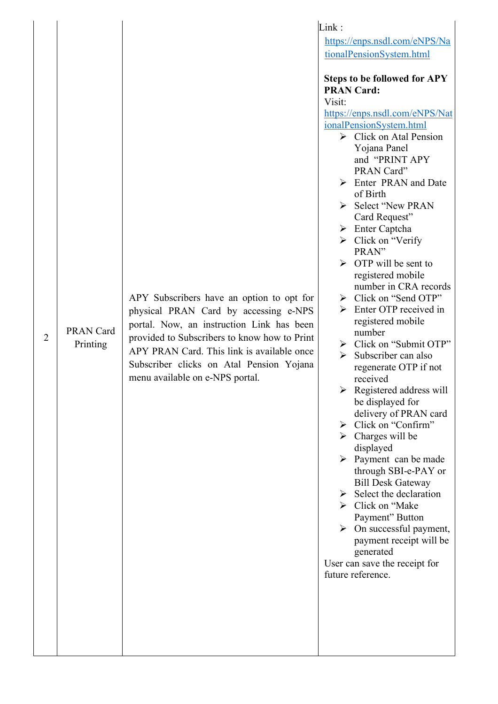|                |                              | Link:                                                                                                                                                                                                                                                                                                        |                                                                                                                                                                                                                                                                                                                                                                                                                                                                                                                                                                                                                                                                                                                                                                                                                                                                                                                                                                                                                                                                                                                                                                         |
|----------------|------------------------------|--------------------------------------------------------------------------------------------------------------------------------------------------------------------------------------------------------------------------------------------------------------------------------------------------------------|-------------------------------------------------------------------------------------------------------------------------------------------------------------------------------------------------------------------------------------------------------------------------------------------------------------------------------------------------------------------------------------------------------------------------------------------------------------------------------------------------------------------------------------------------------------------------------------------------------------------------------------------------------------------------------------------------------------------------------------------------------------------------------------------------------------------------------------------------------------------------------------------------------------------------------------------------------------------------------------------------------------------------------------------------------------------------------------------------------------------------------------------------------------------------|
|                |                              |                                                                                                                                                                                                                                                                                                              | https://enps.nsdl.com/eNPS/Na                                                                                                                                                                                                                                                                                                                                                                                                                                                                                                                                                                                                                                                                                                                                                                                                                                                                                                                                                                                                                                                                                                                                           |
|                |                              |                                                                                                                                                                                                                                                                                                              | tionalPensionSystem.html                                                                                                                                                                                                                                                                                                                                                                                                                                                                                                                                                                                                                                                                                                                                                                                                                                                                                                                                                                                                                                                                                                                                                |
| $\overline{2}$ | <b>PRAN Card</b><br>Printing | APY Subscribers have an option to opt for<br>physical PRAN Card by accessing e-NPS<br>portal. Now, an instruction Link has been<br>provided to Subscribers to know how to Print<br>APY PRAN Card. This link is available once<br>Subscriber clicks on Atal Pension Yojana<br>menu available on e-NPS portal. | <b>Steps to be followed for APY</b><br><b>PRAN Card:</b><br>Visit:<br>https://enps.nsdl.com/eNPS/Nat<br>ionalPensionSystem.html<br>$\triangleright$ Click on Atal Pension<br>Yojana Panel<br>and "PRINT APY<br>PRAN Card"<br>Enter PRAN and Date<br>➤<br>of Birth<br>Select "New PRAN<br>Card Request"<br>$\triangleright$ Enter Captcha<br>$\triangleright$ Click on "Verify"<br>PRAN"<br>$\triangleright$ OTP will be sent to<br>registered mobile<br>number in CRA records<br>$\triangleright$ Click on "Send OTP"<br>$\triangleright$ Enter OTP received in<br>registered mobile<br>number<br>$\triangleright$ Click on "Submit OTP"<br>Subscriber can also<br>regenerate OTP if not<br>received<br>Registered address will<br>➤<br>be displayed for<br>delivery of PRAN card<br>Click on "Confirm"<br>➤<br>$\triangleright$ Charges will be<br>displayed<br>$\triangleright$ Payment can be made<br>through SBI-e-PAY or<br><b>Bill Desk Gateway</b><br>Select the declaration<br>➤<br>$\triangleright$ Click on "Make"<br>Payment" Button<br>On successful payment,<br>payment receipt will be<br>generated<br>User can save the receipt for<br>future reference. |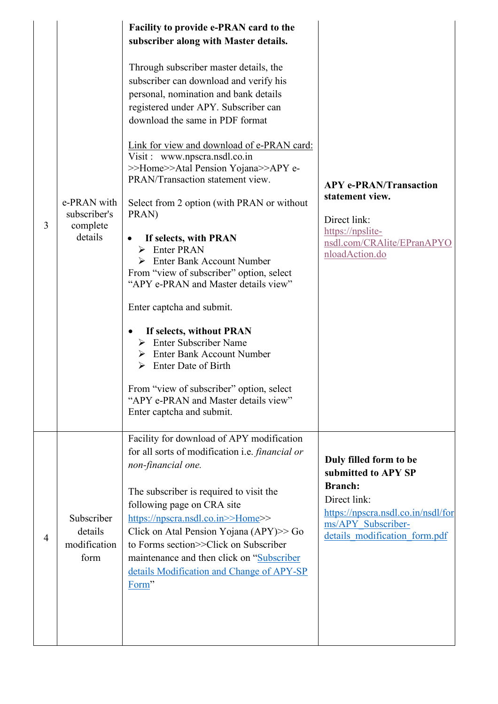| 3 | e-PRAN with<br>subscriber's<br>complete<br>details | Facility to provide e-PRAN card to the<br>subscriber along with Master details.<br>Through subscriber master details, the<br>subscriber can download and verify his<br>personal, nomination and bank details<br>registered under APY. Subscriber can<br>download the same in PDF format<br>Link for view and download of e-PRAN card:<br>Visit : www.npscra.nsdl.co.in<br>>>Home>>Atal Pension Yojana>>APY e-<br>PRAN/Transaction statement view.<br>Select from 2 option (with PRAN or without<br>PRAN)<br>If selects, with PRAN<br>Enter PRAN<br>➤<br><b>Enter Bank Account Number</b><br>From "view of subscriber" option, select<br>"APY e-PRAN and Master details view"<br>Enter captcha and submit.<br>If selects, without PRAN<br>$\triangleright$ Enter Subscriber Name<br><b>Enter Bank Account Number</b><br>Enter Date of Birth<br>From "view of subscriber" option, select<br>"APY e-PRAN and Master details view"<br>Enter captcha and submit. | <b>APY e-PRAN/Transaction</b><br>statement view.<br>Direct link:<br>https://npslite-<br>nsdl.com/CRAlite/EPranAPYO<br>nloadAction.do                                         |
|---|----------------------------------------------------|-------------------------------------------------------------------------------------------------------------------------------------------------------------------------------------------------------------------------------------------------------------------------------------------------------------------------------------------------------------------------------------------------------------------------------------------------------------------------------------------------------------------------------------------------------------------------------------------------------------------------------------------------------------------------------------------------------------------------------------------------------------------------------------------------------------------------------------------------------------------------------------------------------------------------------------------------------------|------------------------------------------------------------------------------------------------------------------------------------------------------------------------------|
| 4 | Subscriber<br>details<br>modification<br>form      | Facility for download of APY modification<br>for all sorts of modification i.e. <i>financial or</i><br>non-financial one.<br>The subscriber is required to visit the<br>following page on CRA site<br>https://npscra.nsdl.co.in>>Home>><br>Click on Atal Pension Yojana $(APY) >> Go$<br>to Forms section>>Click on Subscriber<br>maintenance and then click on "Subscriber"<br>details Modification and Change of APY-SP<br>Form"                                                                                                                                                                                                                                                                                                                                                                                                                                                                                                                          | Duly filled form to be<br>submitted to APY SP<br><b>Branch:</b><br>Direct link:<br>https://npscra.nsdl.co.in/nsdl/for<br>ms/APY Subscriber-<br>details modification form.pdf |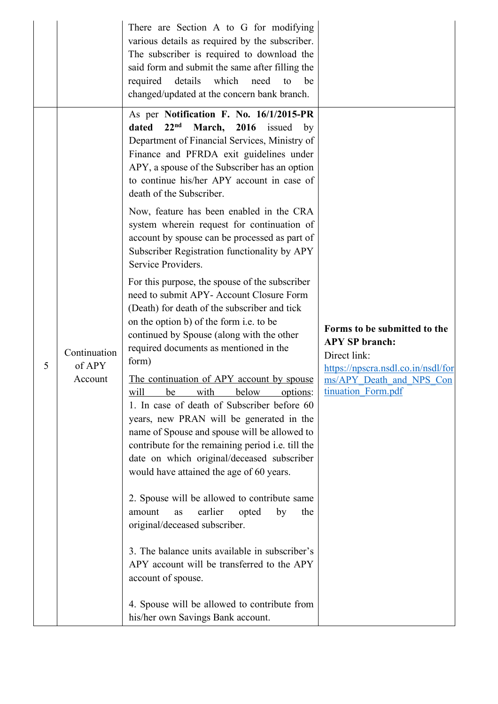|   |                                   | There are Section A to G for modifying<br>various details as required by the subscriber.<br>The subscriber is required to download the<br>said form and submit the same after filling the<br>which<br>required<br>details<br>need<br>be<br>to<br>changed/updated at the concern bank branch.                                                                                                                                                                                                                                                                                                                                                                                                                                                                                                                                                                                                                                                                                                                                                                                                                                                                                                                                                                                                                                                                                                                                                                                                                                                                                 |                                                                                                                                                               |
|---|-----------------------------------|------------------------------------------------------------------------------------------------------------------------------------------------------------------------------------------------------------------------------------------------------------------------------------------------------------------------------------------------------------------------------------------------------------------------------------------------------------------------------------------------------------------------------------------------------------------------------------------------------------------------------------------------------------------------------------------------------------------------------------------------------------------------------------------------------------------------------------------------------------------------------------------------------------------------------------------------------------------------------------------------------------------------------------------------------------------------------------------------------------------------------------------------------------------------------------------------------------------------------------------------------------------------------------------------------------------------------------------------------------------------------------------------------------------------------------------------------------------------------------------------------------------------------------------------------------------------------|---------------------------------------------------------------------------------------------------------------------------------------------------------------|
| 5 | Continuation<br>of APY<br>Account | As per Notification F. No. 16/1/2015-PR<br>22 <sup>nd</sup><br>dated<br>March, 2016 issued<br>by<br>Department of Financial Services, Ministry of<br>Finance and PFRDA exit guidelines under<br>APY, a spouse of the Subscriber has an option<br>to continue his/her APY account in case of<br>death of the Subscriber.<br>Now, feature has been enabled in the CRA<br>system wherein request for continuation of<br>account by spouse can be processed as part of<br>Subscriber Registration functionality by APY<br>Service Providers.<br>For this purpose, the spouse of the subscriber<br>need to submit APY- Account Closure Form<br>(Death) for death of the subscriber and tick<br>on the option b) of the form <i>i.e.</i> to be<br>continued by Spouse (along with the other<br>required documents as mentioned in the<br>form)<br><u>The continuation of APY account by spouse</u><br>will<br>be with below options:<br>1. In case of death of Subscriber before 60<br>years, new PRAN will be generated in the<br>name of Spouse and spouse will be allowed to<br>contribute for the remaining period <i>i.e.</i> till the<br>date on which original/deceased subscriber<br>would have attained the age of 60 years.<br>2. Spouse will be allowed to contribute same<br>earlier<br>amount<br>opted<br>by<br>the<br>as<br>original/deceased subscriber.<br>3. The balance units available in subscriber's<br>APY account will be transferred to the APY<br>account of spouse.<br>4. Spouse will be allowed to contribute from<br>his/her own Savings Bank account. | Forms to be submitted to the<br><b>APY SP</b> branch:<br>Direct link:<br>https://npscra.nsdl.co.in/nsdl/for<br>ms/APY Death and NPS Con<br>tinuation_Form.pdf |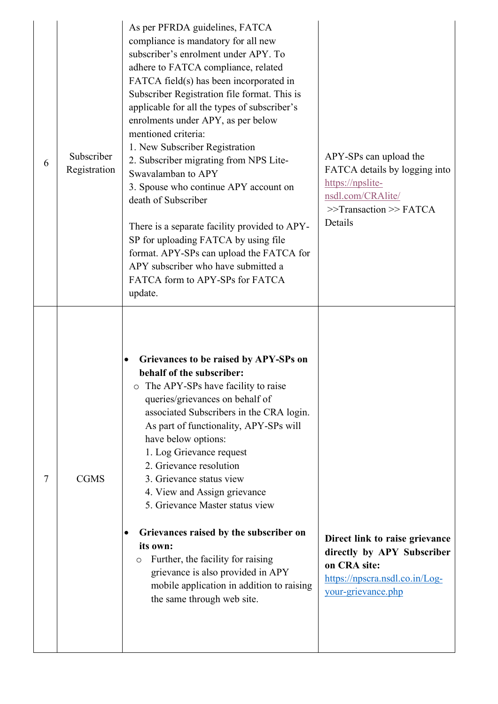| 6 | Subscriber<br>Registration | As per PFRDA guidelines, FATCA<br>compliance is mandatory for all new<br>subscriber's enrolment under APY. To<br>adhere to FATCA compliance, related<br>FATCA field(s) has been incorporated in<br>Subscriber Registration file format. This is<br>applicable for all the types of subscriber's<br>enrolments under APY, as per below<br>mentioned criteria:<br>1. New Subscriber Registration<br>2. Subscriber migrating from NPS Lite-<br>Swavalamban to APY<br>3. Spouse who continue APY account on<br>death of Subscriber<br>There is a separate facility provided to APY-<br>SP for uploading FATCA by using file<br>format. APY-SPs can upload the FATCA for<br>APY subscriber who have submitted a<br>FATCA form to APY-SPs for FATCA<br>update. | APY-SPs can upload the<br>FATCA details by logging into<br>https://npslite-<br>nsdl.com/CRAlite/<br>$\gg$ Transaction $\gg$ FATCA<br>Details |
|---|----------------------------|----------------------------------------------------------------------------------------------------------------------------------------------------------------------------------------------------------------------------------------------------------------------------------------------------------------------------------------------------------------------------------------------------------------------------------------------------------------------------------------------------------------------------------------------------------------------------------------------------------------------------------------------------------------------------------------------------------------------------------------------------------|----------------------------------------------------------------------------------------------------------------------------------------------|
| 7 | <b>CGMS</b>                | Grievances to be raised by APY-SPs on<br>behalf of the subscriber:<br>$\circ$ The APY-SPs have facility to raise<br>queries/grievances on behalf of<br>associated Subscribers in the CRA login.<br>As part of functionality, APY-SPs will<br>have below options:<br>1. Log Grievance request<br>2. Grievance resolution<br>3. Grievance status view<br>4. View and Assign grievance<br>5. Grievance Master status view<br>Grievances raised by the subscriber on<br>$\bullet$<br>its own:<br>Further, the facility for raising<br>O<br>grievance is also provided in APY<br>mobile application in addition to raising<br>the same through web site.                                                                                                      | Direct link to raise grievance<br>directly by APY Subscriber<br>on CRA site:<br>https://npscra.nsdl.co.in/Log-<br>your-grievance.php         |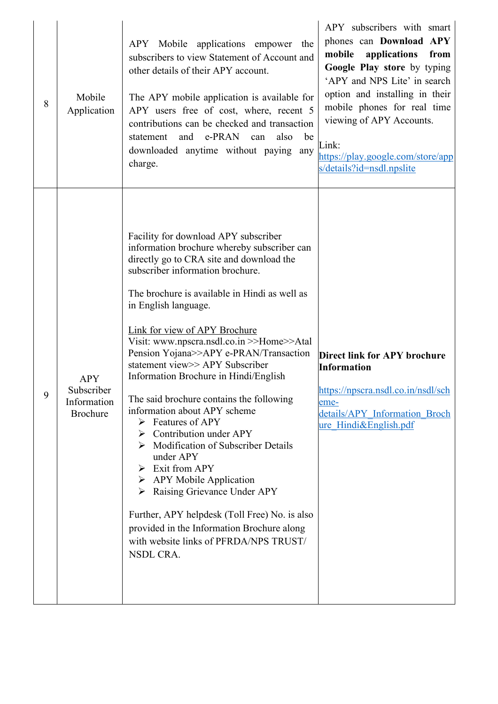| 8 | Mobile<br>Application                                      | APY Mobile applications empower the<br>subscribers to view Statement of Account and<br>other details of their APY account.<br>The APY mobile application is available for<br>APY users free of cost, where, recent 5<br>contributions can be checked and transaction<br>e-PRAN<br>and<br>be<br>statement<br>also<br>can<br>downloaded anytime without paying<br>any<br>charge.                                                                                                                                                                                                                                                                                                                                                                                                                                                                                                                                   | APY subscribers with smart<br>phones can Download APY<br>from<br>mobile<br>applications<br>Google Play store by typing<br>'APY and NPS Lite' in search<br>option and installing in their<br>mobile phones for real time<br>viewing of APY Accounts.<br>Link:<br>https://play.google.com/store/app<br>s/details?id=nsdl.npslite |
|---|------------------------------------------------------------|------------------------------------------------------------------------------------------------------------------------------------------------------------------------------------------------------------------------------------------------------------------------------------------------------------------------------------------------------------------------------------------------------------------------------------------------------------------------------------------------------------------------------------------------------------------------------------------------------------------------------------------------------------------------------------------------------------------------------------------------------------------------------------------------------------------------------------------------------------------------------------------------------------------|--------------------------------------------------------------------------------------------------------------------------------------------------------------------------------------------------------------------------------------------------------------------------------------------------------------------------------|
| 9 | <b>APY</b><br>Subscriber<br>Information<br><b>Brochure</b> | Facility for download APY subscriber<br>information brochure whereby subscriber can<br>directly go to CRA site and download the<br>subscriber information brochure.<br>The brochure is available in Hindi as well as<br>in English language.<br>Link for view of APY Brochure<br>Visit: www.npscra.nsdl.co.in >>Home>>Atal<br>Pension Yojana>>APY e-PRAN/Transaction<br>statement view >> APY Subscriber<br>Information Brochure in Hindi/English<br>The said brochure contains the following<br>information about APY scheme<br><b>Features of APY</b><br>➤<br>Contribution under APY<br>➤<br><b>Modification of Subscriber Details</b><br>under APY<br>Exit from APY<br>➤<br>$\triangleright$ APY Mobile Application<br>Raising Grievance Under APY<br>➤<br>Further, APY helpdesk (Toll Free) No. is also<br>provided in the Information Brochure along<br>with website links of PFRDA/NPS TRUST/<br>NSDL CRA. | <b>Direct link for APY brochure</b><br><b>Information</b><br>https://npscra.nsdl.co.in/nsdl/sch<br>eme-<br>details/APY Information Broch<br>ure Hindi&English.pdf                                                                                                                                                              |